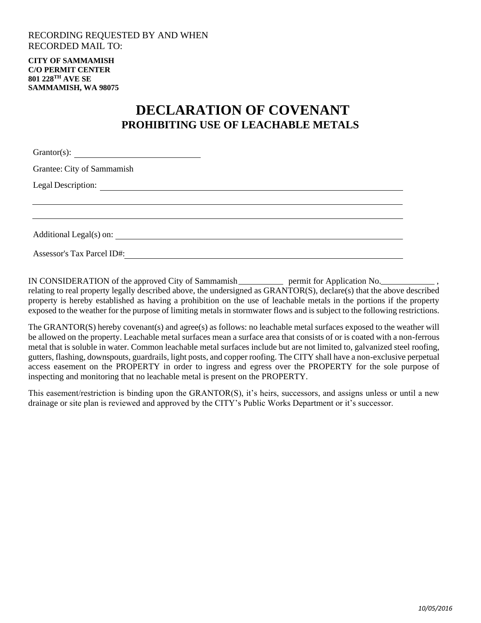## RECORDING REQUESTED BY AND WHEN RECORDED MAIL TO:

**CITY OF SAMMAMISH C/O PERMIT CENTER 801 228TH AVE SE SAMMAMISH, WA 98075**

## **DECLARATION OF COVENANT PROHIBITING USE OF LEACHABLE METALS**

| $Grantor(s)$ :<br><u> 1989 - Andrea Andrew Maria (h. 1989).</u> |  |  |
|-----------------------------------------------------------------|--|--|
| Grantee: City of Sammamish                                      |  |  |
|                                                                 |  |  |
|                                                                 |  |  |
|                                                                 |  |  |
| Additional Legal(s) on: __                                      |  |  |

Assessor's Tax Parcel ID#:

IN CONSIDERATION of the approved City of Sammamish electron permit for Application No. relating to real property legally described above, the undersigned as GRANTOR(S), declare(s) that the above described property is hereby established as having a prohibition on the use of leachable metals in the portions if the property exposed to the weather for the purpose of limiting metals in stormwater flows and is subject to the following restrictions.

The GRANTOR(S) hereby covenant(s) and agree(s) as follows: no leachable metal surfaces exposed to the weather will be allowed on the property. Leachable metal surfaces mean a surface area that consists of or is coated with a non-ferrous metal that is soluble in water. Common leachable metal surfaces include but are not limited to, galvanized steel roofing, gutters, flashing, downspouts, guardrails, light posts, and copper roofing. The CITY shall have a non-exclusive perpetual access easement on the PROPERTY in order to ingress and egress over the PROPERTY for the sole purpose of inspecting and monitoring that no leachable metal is present on the PROPERTY.

This easement/restriction is binding upon the GRANTOR(S), it's heirs, successors, and assigns unless or until a new drainage or site plan is reviewed and approved by the CITY's Public Works Department or it's successor.